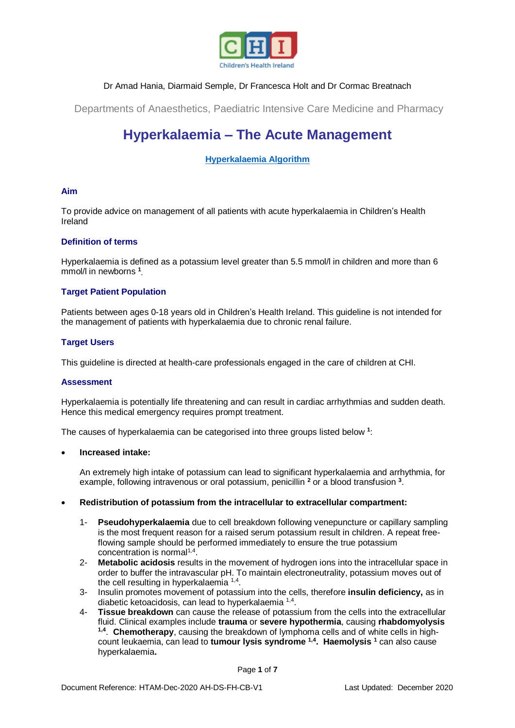

# Dr Amad Hania, Diarmaid Semple, Dr Francesca Holt and Dr Cormac Breatnach

Departments of Anaesthetics, Paediatric Intensive Care Medicine and Pharmacy

# **Hyperkalaemia – The Acute Management**

# **[Hyperkalaemia Algorithm](https://www.olchc.ie/Healthcare-Professionals/Clinical-Guidelines/Clinical-guidelines-Hyperlink-files/Hyperkalaemia-Algorithm.pdf)**

#### **Aim**

To provide advice on management of all patients with acute hyperkalaemia in Children's Health Ireland

#### **Definition of terms**

Hyperkalaemia is defined as a potassium level greater than 5.5 mmol/l in children and more than 6 mmol/l in newborns **<sup>1</sup> .**

#### **Target Patient Population**

Patients between ages 0-18 years old in Children's Health Ireland. This guideline is not intended for the management of patients with hyperkalaemia due to chronic renal failure.

# **Target Users**

This guideline is directed at health-care professionals engaged in the care of children at CHI.

#### **Assessment**

Hyperkalaemia is potentially life threatening and can result in cardiac arrhythmias and sudden death. Hence this medical emergency requires prompt treatment.

The causes of hyperkalaemia can be categorised into three groups listed below **<sup>1</sup>** :

## **Increased intake:**

An extremely high intake of potassium can lead to significant hyperkalaemia and arrhythmia, for example, following intravenous or oral potassium, penicillin **<sup>2</sup>** or a blood transfusion **<sup>3</sup>** .

#### **Redistribution of potassium from the intracellular to extracellular compartment:**

- 1- **Pseudohyperkalaemia** due to cell breakdown following venepuncture or capillary sampling is the most frequent reason for a raised serum potassium result in children. A repeat freeflowing sample should be performed immediately to ensure the true potassium concentration is normal<sup>1,4</sup>.
- 2- **Metabolic acidosis** results in the movement of hydrogen ions into the intracellular space in order to buffer the intravascular pH. To maintain electroneutrality, potassium moves out of the cell resulting in hyperkalaemia  $1,4$ .
- 3- Insulin promotes movement of potassium into the cells, therefore **insulin deficiency,** as in diabetic ketoacidosis, can lead to hyperkalaemia 1,4.
- 4- **Tissue breakdown** can cause the release of potassium from the cells into the extracellular fluid. Clinical examples include **trauma** or **severe hypothermia**, causing **rhabdomyolysis 1,4** . **Chemotherapy**, causing the breakdown of lymphoma cells and of white cells in highcount leukaemia, can lead to **tumour lysis syndrome 1,4 . Haemolysis <sup>1</sup>** can also cause hyperkalaemia**.**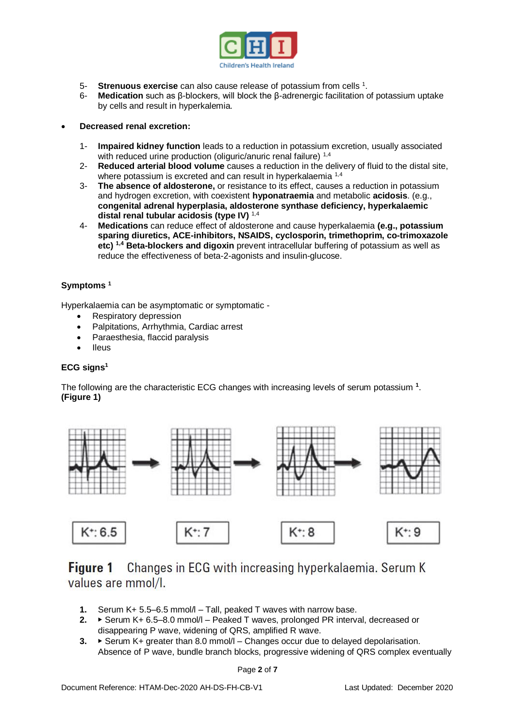

- 5- **Strenuous exercise** can also cause release of potassium from cells <sup>1</sup>.
- 6- **Medication** such as β-blockers, will block the β-adrenergic facilitation of potassium uptake by cells and result in hyperkalemia.

#### **Decreased renal excretion:**

- 1- **Impaired kidney function** leads to a reduction in potassium excretion, usually associated with reduced urine production (oliguric/anuric renal failure) <sup>1,4</sup>
- 2- **Reduced arterial blood volume** causes a reduction in the delivery of fluid to the distal site, where potassium is excreted and can result in hyperkalaemia  $1,4$
- 3- **The absence of aldosterone,** or resistance to its effect, causes a reduction in potassium and hydrogen excretion, with coexistent **hyponatraemia** and metabolic **acidosis**. (e.g., **congenital adrenal hyperplasia, aldosterone synthase deficiency, hyperkalaemic distal renal tubular acidosis (type IV)** 1,4
- 4- **Medications** can reduce effect of aldosterone and cause hyperkalaemia **(e.g., potassium sparing diuretics, ACE-inhibitors, NSAIDS, cyclosporin, trimethoprim, co-trimoxazole etc) 1,4 Beta-blockers and digoxin** prevent intracellular buffering of potassium as well as reduce the effectiveness of beta-2-agonists and insulin-glucose.

#### **Symptoms <sup>1</sup>**

Hyperkalaemia can be asymptomatic or symptomatic -

- Respiratory depression
- Palpitations, Arrhythmia, Cardiac arrest
- Paraesthesia, flaccid paralysis
- Ileus

## **ECG signs<sup>1</sup>**

The following are the characteristic ECG changes with increasing levels of serum potassium **<sup>1</sup>** . **(Figure 1)**



# Figure 1 Changes in ECG with increasing hyperkalaemia. Serum K values are mmol/l.

- **1.** Serum K+ 5.5–6.5 mmol/l Tall, peaked T waves with narrow base.
- **2.** ▶ Serum K+ 6.5–8.0 mmol/l Peaked T waves, prolonged PR interval, decreased or disappearing P wave, widening of QRS, amplified R wave.
- **3. ▶ Serum K+ greater than 8.0 mmol/l Changes occur due to delayed depolarisation.** Absence of P wave, bundle branch blocks, progressive widening of QRS complex eventually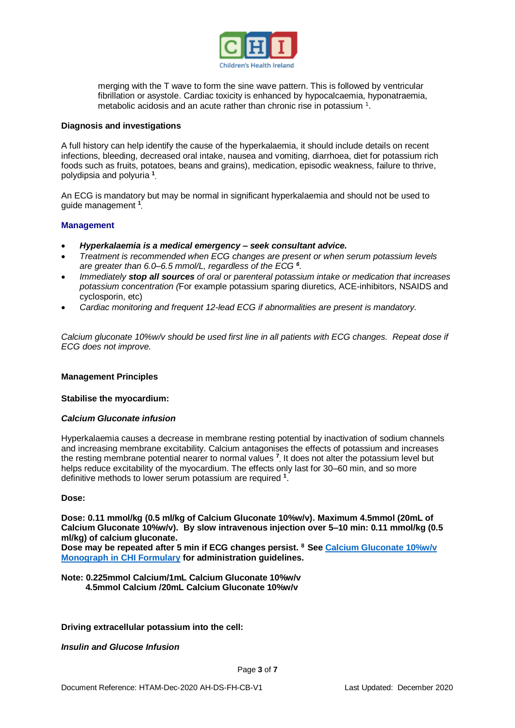

merging with the T wave to form the sine wave pattern. This is followed by ventricular fibrillation or asystole. Cardiac toxicity is enhanced by hypocalcaemia, hyponatraemia, metabolic acidosis and an acute rather than chronic rise in potassium <sup>1</sup>.

#### **Diagnosis and investigations**

A full history can help identify the cause of the hyperkalaemia, it should include details on recent infections, bleeding, decreased oral intake, nausea and vomiting, diarrhoea, diet for potassium rich foods such as fruits, potatoes, beans and grains), medication, episodic weakness, failure to thrive, polydipsia and polyuria **<sup>1</sup> .**

An ECG is mandatory but may be normal in significant hyperkalaemia and should not be used to guide management **<sup>1</sup> .**

#### **Management**

- *Hyperkalaemia is a medical emergency – seek consultant advice.*
- *Treatment is recommended when ECG changes are present or when serum potassium levels are greater than 6.0–6.5 mmol/L, regardless of the ECG <sup>6</sup> .*
- *Immediately stop all sources of oral or parenteral potassium intake or medication that increases potassium concentration (*For example potassium sparing diuretics, ACE-inhibitors, NSAIDS and cyclosporin, etc)
- *Cardiac monitoring and frequent 12-lead ECG if abnormalities are present is mandatory.*

*Calcium gluconate 10%w/v should be used first line in all patients with ECG changes. Repeat dose if ECG does not improve.*

#### **Management Principles**

#### **Stabilise the myocardium:**

#### *Calcium Gluconate infusion*

Hyperkalaemia causes a decrease in membrane resting potential by inactivation of sodium channels and increasing membrane excitability. Calcium antagonises the effects of potassium and increases the resting membrane potential nearer to normal values **<sup>7</sup> .** It does not alter the potassium level but helps reduce excitability of the myocardium. The effects only last for 30–60 min, and so more definitive methods to lower serum potassium are required **<sup>1</sup>** .

#### **Dose:**

**Dose: 0.11 mmol/kg (0.5 ml/kg of Calcium Gluconate 10%w/v). Maximum 4.5mmol (20mL of Calcium Gluconate 10%w/v). By slow intravenous injection over 5–10 min: 0.11 mmol/kg (0.5 ml/kg) of calcium gluconate.**

**Dose may be repeated after 5 min if ECG changes persist. <sup>8</sup> See [Calcium Gluconate 10%w/v](http://www.mobanode.mobi/formulary/desktop/viewDrug.php?i=47)  Monograph in CHI Formulary [for administration guidelines.](http://www.mobanode.mobi/formulary/desktop/viewDrug.php?i=47)**

**Note: 0.225mmol Calcium/1mL Calcium Gluconate 10%w/v 4.5mmol Calcium /20mL Calcium Gluconate 10%w/v**

#### **Driving extracellular potassium into the cell:**

#### *Insulin and Glucose Infusion*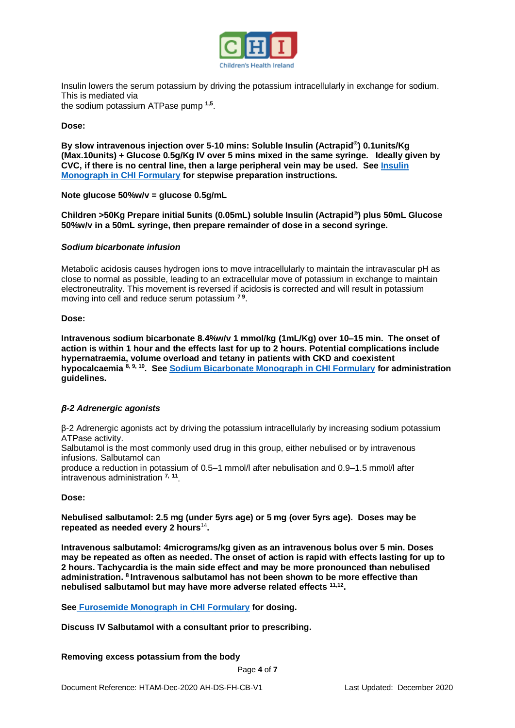

Insulin lowers the serum potassium by driving the potassium intracellularly in exchange for sodium. This is mediated via the sodium potassium ATPase pump **1,5** .

#### **Dose:**

**By slow intravenous injection over 5-10 mins: Soluble Insulin (Actrapid® ) 0.1units/Kg (Max.10units) + Glucose 0.5g/Kg IV over 5 mins mixed in the same syringe. Ideally given by CVC, if there is no central line, then a large peripheral vein may be used. See [Insulin](http://www.mobanode.mobi/formulary/desktop/viewDrug.php?i=164)  [Monograph in CHI](http://www.mobanode.mobi/formulary/desktop/viewDrug.php?i=164) Formulary for stepwise preparation instructions.**

**Note glucose 50%w/v = glucose 0.5g/mL**

**Children >50Kg Prepare initial 5units (0.05mL) soIuble Insulin (Actrapid® ) plus 50mL Glucose 50%w/v in a 50mL syringe, then prepare remainder of dose in a second syringe.**

#### *Sodium bicarbonate infusion*

Metabolic acidosis causes hydrogen ions to move intracellularly to maintain the intravascular pH as close to normal as possible, leading to an extracellular move of potassium in exchange to maintain electroneutrality. This movement is reversed if acidosis is corrected and will result in potassium moving into cell and reduce serum potassium **7 9** .

**Dose:**

**Intravenous sodium bicarbonate 8.4%w/v 1 mmol/kg (1mL/Kg) over 10–15 min. The onset of action is within 1 hour and the effects last for up to 2 hours. Potential complications include hypernatraemia, volume overload and tetany in patients with CKD and coexistent hypocalcaemia 8, 9, <sup>10</sup>. See [Sodium Bicarbonate](http://www.mobanode.mobi/formulary/desktop/viewDrug.php?i=279) Monograph in CHI Formulary for administration guidelines.**

# *β-2 Adrenergic agonists*

β-2 Adrenergic agonists act by driving the potassium intracellularly by increasing sodium potassium ATPase activity.

Salbutamol is the most commonly used drug in this group, either nebulised or by intravenous infusions. Salbutamol can

produce a reduction in potassium of 0.5–1 mmol/l after nebulisation and 0.9–1.5 mmol/l after intravenous administration **7, <sup>11</sup> .**

#### **Dose:**

**Nebulised salbutamol: 2.5 mg (under 5yrs age) or 5 mg (over 5yrs age). Doses may be repeated as needed every 2 hours**<sup>14</sup> **.**

**Intravenous salbutamol: 4micrograms/kg given as an intravenous bolus over 5 min. Doses may be repeated as often as needed. The onset of action is rapid with effects lasting for up to 2 hours. Tachycardia is the main side effect and may be more pronounced than nebulised administration. 8 Intravenous salbutamol has not been shown to be more effective than nebulised salbutamol but may have more adverse related effects 11,12 .**

**See [Furosemide Monograph in CHI Formulary](http://www.mobanode.mobi/formulary/desktop/index.php) for dosing.**

**Discuss IV Salbutamol with a consultant prior to prescribing.**

**Removing excess potassium from the body**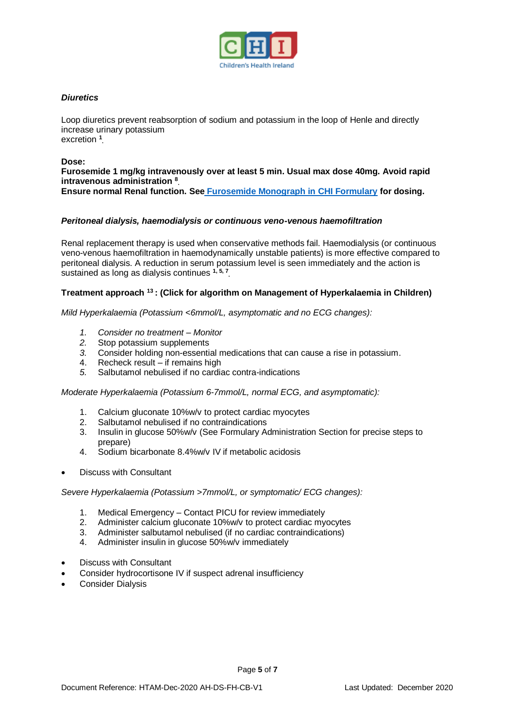

# *Diuretics*

Loop diuretics prevent reabsorption of sodium and potassium in the loop of Henle and directly increase urinary potassium excretion **<sup>1</sup> .**

#### **Dose:**

# **Furosemide 1 mg/kg intravenously over at least 5 min. Usual max dose 40mg. Avoid rapid intravenous administration <sup>8</sup> .**

**Ensure normal Renal function. See [Furosemide Monograph in CHI Formulary](http://www.mobanode.mobi/formulary/desktop/index.php) for dosing.**

#### *Peritoneal dialysis, haemodialysis or continuous veno-venous haemofiltration*

Renal replacement therapy is used when conservative methods fail. Haemodialysis (or continuous veno-venous haemofiltration in haemodynamically unstable patients) is more effective compared to peritoneal dialysis. A reduction in serum potassium level is seen immediately and the action is sustained as long as dialysis continues **1, 5, 7 .**

## **Treatment approach <sup>13</sup> : (Click for algorithm on Management of Hyperkalaemia in Children)**

*Mild Hyperkalaemia (Potassium <6mmol/L, asymptomatic and no ECG changes):*

- *1. Consider no treatment – Monitor*
- *2.* Stop potassium supplements
- *3.* Consider holding non-essential medications that can cause a rise in potassium.
- 4. Recheck result if remains high
- *5.* Salbutamol nebulised if no cardiac contra-indications

*Moderate Hyperkalaemia (Potassium 6-7mmol/L, normal ECG, and asymptomatic):*

- 1. Calcium gluconate 10%w/v to protect cardiac myocytes<br>2. Salbutamol nebulised if no contraindications
- 2. Salbutamol nebulised if no contraindications<br>3. Insulin in glucose 50%w/v (See Formulary A
- Insulin in glucose 50%w/v (See Formulary Administration Section for precise steps to prepare)
- 4. Sodium bicarbonate 8.4%w/v IV if metabolic acidosis
- Discuss with Consultant

*Severe Hyperkalaemia (Potassium >7mmol/L, or symptomatic/ ECG changes):*

- 1. Medical Emergency Contact PICU for review immediately
- 2. Administer calcium gluconate 10%w/v to protect cardiac myocytes
- 3. Administer salbutamol nebulised (if no cardiac contraindications)
- 4. Administer insulin in glucose 50%w/v immediately
- Discuss with Consultant
- Consider hydrocortisone IV if suspect adrenal insufficiency
- Consider Dialysis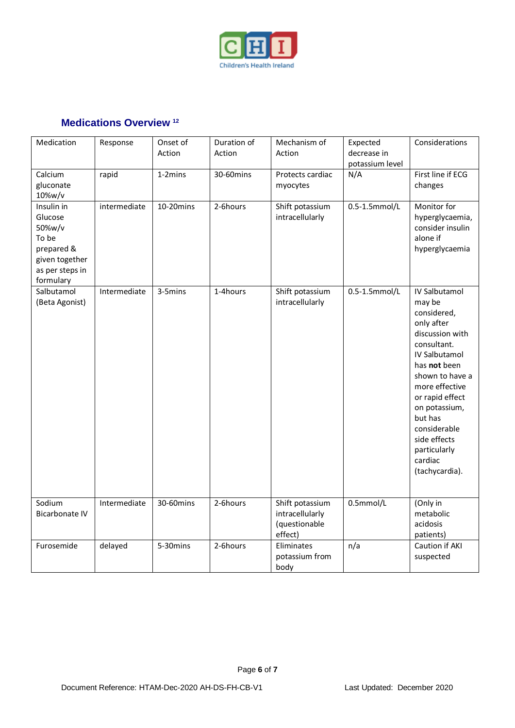

# **Medications Overview <sup>12</sup>**

| Medication                                                                                               | Response     | Onset of<br>Action | Duration of<br>Action | Mechanism of<br>Action                                         | Expected<br>decrease in<br>potassium level | Considerations                                                                                                                                                                                                                                                                           |
|----------------------------------------------------------------------------------------------------------|--------------|--------------------|-----------------------|----------------------------------------------------------------|--------------------------------------------|------------------------------------------------------------------------------------------------------------------------------------------------------------------------------------------------------------------------------------------------------------------------------------------|
| Calcium<br>gluconate<br>10%w/v                                                                           | rapid        | $1-2$ mins         | 30-60mins             | Protects cardiac<br>myocytes                                   | N/A                                        | First line if ECG<br>changes                                                                                                                                                                                                                                                             |
| Insulin in<br>Glucose<br>50%w/v<br>To be<br>prepared &<br>given together<br>as per steps in<br>formulary | intermediate | 10-20mins          | 2-6hours              | Shift potassium<br>intracellularly                             | $0.5-1.5$ mmol/L                           | Monitor for<br>hyperglycaemia,<br>consider insulin<br>alone if<br>hyperglycaemia                                                                                                                                                                                                         |
| Salbutamol<br>(Beta Agonist)                                                                             | Intermediate | 3-5mins            | 1-4hours              | Shift potassium<br>intracellularly                             | $0.5-1.5$ mmol/L                           | IV Salbutamol<br>may be<br>considered,<br>only after<br>discussion with<br>consultant.<br>IV Salbutamol<br>has not been<br>shown to have a<br>more effective<br>or rapid effect<br>on potassium,<br>but has<br>considerable<br>side effects<br>particularly<br>cardiac<br>(tachycardia). |
| Sodium<br><b>Bicarbonate IV</b>                                                                          | Intermediate | 30-60mins          | 2-6hours              | Shift potassium<br>intracellularly<br>(questionable<br>effect) | $0.5$ mmol/L                               | (Only in<br>metabolic<br>acidosis<br>patients)                                                                                                                                                                                                                                           |
| Furosemide                                                                                               | delayed      | 5-30mins           | 2-6hours              | Eliminates<br>potassium from<br>body                           | n/a                                        | Caution if AKI<br>suspected                                                                                                                                                                                                                                                              |